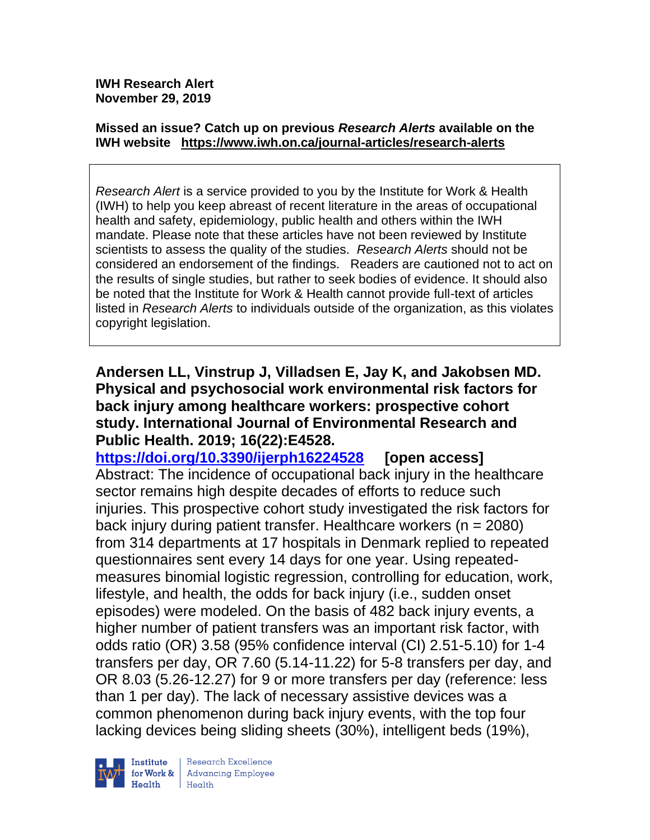**IWH Research Alert November 29, 2019**

#### **Missed an issue? Catch up on previous** *Research Alerts* **available on the [IWH website](http://www.iwh.on.ca/research-alerts) <https://www.iwh.on.ca/journal-articles/research-alerts>**

*Research Alert* is a service provided to you by the Institute for Work & Health (IWH) to help you keep abreast of recent literature in the areas of occupational health and safety, epidemiology, public health and others within the IWH mandate. Please note that these articles have not been reviewed by Institute scientists to assess the quality of the studies. *Research Alerts* should not be considered an endorsement of the findings. Readers are cautioned not to act on the results of single studies, but rather to seek bodies of evidence. It should also be noted that the Institute for Work & Health cannot provide full-text of articles listed in *Research Alerts* to individuals outside of the organization, as this violates copyright legislation.

**Andersen LL, Vinstrup J, Villadsen E, Jay K, and Jakobsen MD. Physical and psychosocial work environmental risk factors for back injury among healthcare workers: prospective cohort study. International Journal of Environmental Research and Public Health. 2019; 16(22):E4528.**

**<https://doi.org/10.3390/ijerph16224528> [open access]** Abstract: The incidence of occupational back injury in the healthcare sector remains high despite decades of efforts to reduce such injuries. This prospective cohort study investigated the risk factors for back injury during patient transfer. Healthcare workers (n = 2080) from 314 departments at 17 hospitals in Denmark replied to repeated questionnaires sent every 14 days for one year. Using repeatedmeasures binomial logistic regression, controlling for education, work, lifestyle, and health, the odds for back injury (i.e., sudden onset episodes) were modeled. On the basis of 482 back injury events, a higher number of patient transfers was an important risk factor, with odds ratio (OR) 3.58 (95% confidence interval (CI) 2.51-5.10) for 1-4 transfers per day, OR 7.60 (5.14-11.22) for 5-8 transfers per day, and OR 8.03 (5.26-12.27) for 9 or more transfers per day (reference: less than 1 per day). The lack of necessary assistive devices was a common phenomenon during back injury events, with the top four lacking devices being sliding sheets (30%), intelligent beds (19%),



Research Excellence **Advancing Employee** Health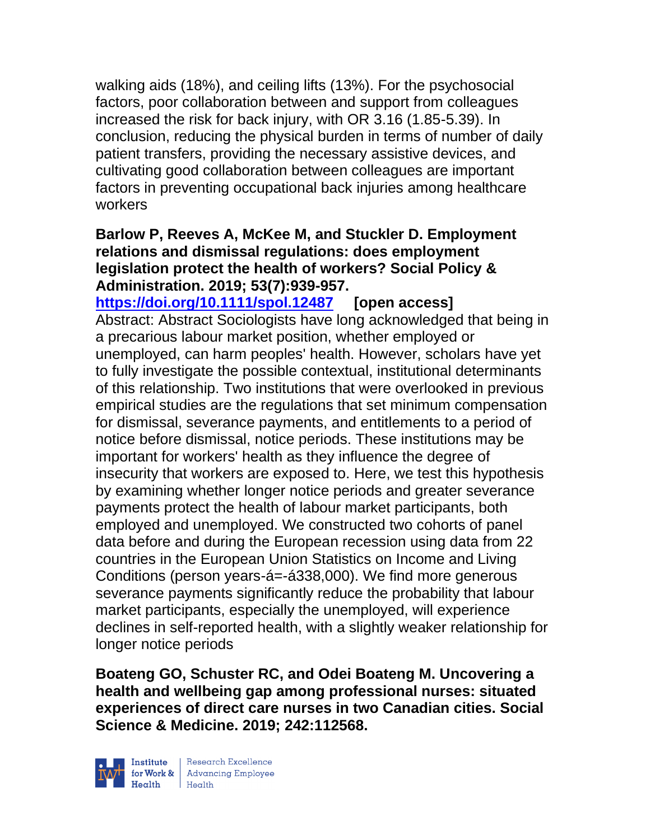walking aids (18%), and ceiling lifts (13%). For the psychosocial factors, poor collaboration between and support from colleagues increased the risk for back injury, with OR 3.16 (1.85-5.39). In conclusion, reducing the physical burden in terms of number of daily patient transfers, providing the necessary assistive devices, and cultivating good collaboration between colleagues are important factors in preventing occupational back injuries among healthcare workers

#### **Barlow P, Reeves A, McKee M, and Stuckler D. Employment relations and dismissal regulations: does employment legislation protect the health of workers? Social Policy & Administration. 2019; 53(7):939-957.**

**<https://doi.org/10.1111/spol.12487> [open access]** Abstract: Abstract Sociologists have long acknowledged that being in a precarious labour market position, whether employed or unemployed, can harm peoples' health. However, scholars have yet to fully investigate the possible contextual, institutional determinants of this relationship. Two institutions that were overlooked in previous empirical studies are the regulations that set minimum compensation for dismissal, severance payments, and entitlements to a period of notice before dismissal, notice periods. These institutions may be important for workers' health as they influence the degree of insecurity that workers are exposed to. Here, we test this hypothesis by examining whether longer notice periods and greater severance payments protect the health of labour market participants, both employed and unemployed. We constructed two cohorts of panel data before and during the European recession using data from 22 countries in the European Union Statistics on Income and Living Conditions (person years-á=-á338,000). We find more generous severance payments significantly reduce the probability that labour market participants, especially the unemployed, will experience declines in self-reported health, with a slightly weaker relationship for longer notice periods

**Boateng GO, Schuster RC, and Odei Boateng M. Uncovering a health and wellbeing gap among professional nurses: situated experiences of direct care nurses in two Canadian cities. Social Science & Medicine. 2019; 242:112568.**

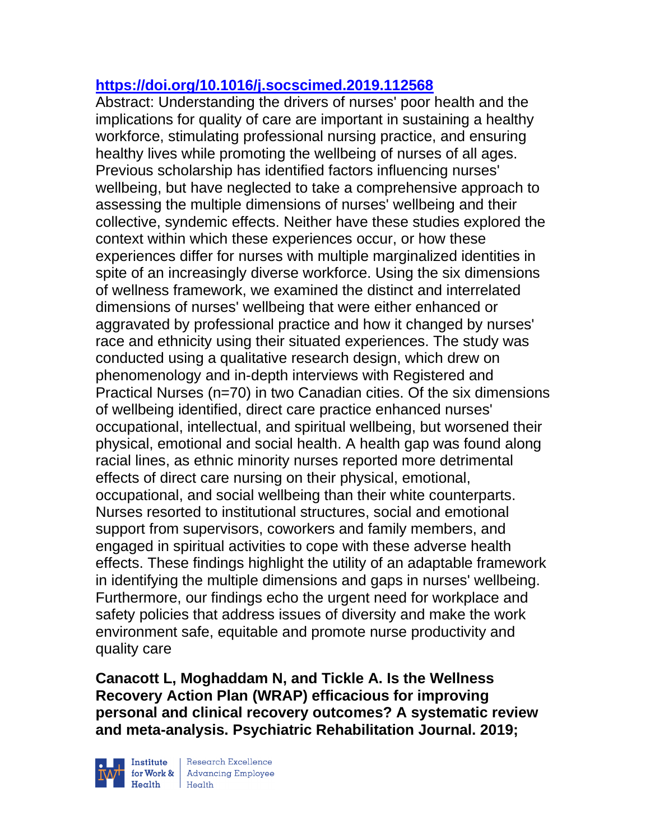## **<https://doi.org/10.1016/j.socscimed.2019.112568>**

Abstract: Understanding the drivers of nurses' poor health and the implications for quality of care are important in sustaining a healthy workforce, stimulating professional nursing practice, and ensuring healthy lives while promoting the wellbeing of nurses of all ages. Previous scholarship has identified factors influencing nurses' wellbeing, but have neglected to take a comprehensive approach to assessing the multiple dimensions of nurses' wellbeing and their collective, syndemic effects. Neither have these studies explored the context within which these experiences occur, or how these experiences differ for nurses with multiple marginalized identities in spite of an increasingly diverse workforce. Using the six dimensions of wellness framework, we examined the distinct and interrelated dimensions of nurses' wellbeing that were either enhanced or aggravated by professional practice and how it changed by nurses' race and ethnicity using their situated experiences. The study was conducted using a qualitative research design, which drew on phenomenology and in-depth interviews with Registered and Practical Nurses (n=70) in two Canadian cities. Of the six dimensions of wellbeing identified, direct care practice enhanced nurses' occupational, intellectual, and spiritual wellbeing, but worsened their physical, emotional and social health. A health gap was found along racial lines, as ethnic minority nurses reported more detrimental effects of direct care nursing on their physical, emotional, occupational, and social wellbeing than their white counterparts. Nurses resorted to institutional structures, social and emotional support from supervisors, coworkers and family members, and engaged in spiritual activities to cope with these adverse health effects. These findings highlight the utility of an adaptable framework in identifying the multiple dimensions and gaps in nurses' wellbeing. Furthermore, our findings echo the urgent need for workplace and safety policies that address issues of diversity and make the work environment safe, equitable and promote nurse productivity and quality care

**Canacott L, Moghaddam N, and Tickle A. Is the Wellness Recovery Action Plan (WRAP) efficacious for improving personal and clinical recovery outcomes? A systematic review and meta-analysis. Psychiatric Rehabilitation Journal. 2019;** 



 $\begin{tabular}{|l|} Institute & Research Excellence \\ \hline for Work & Advancing Employee \\ Health & Health \\ \end{tabular}$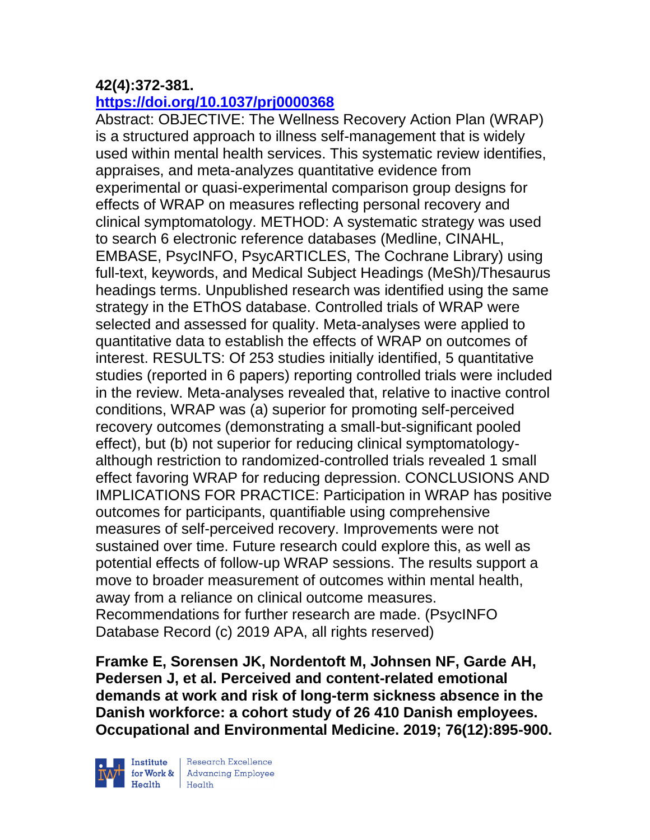## **42(4):372-381.**

## **<https://doi.org/10.1037/prj0000368>**

Abstract: OBJECTIVE: The Wellness Recovery Action Plan (WRAP) is a structured approach to illness self-management that is widely used within mental health services. This systematic review identifies, appraises, and meta-analyzes quantitative evidence from experimental or quasi-experimental comparison group designs for effects of WRAP on measures reflecting personal recovery and clinical symptomatology. METHOD: A systematic strategy was used to search 6 electronic reference databases (Medline, CINAHL, EMBASE, PsycINFO, PsycARTICLES, The Cochrane Library) using full-text, keywords, and Medical Subject Headings (MeSh)/Thesaurus headings terms. Unpublished research was identified using the same strategy in the EThOS database. Controlled trials of WRAP were selected and assessed for quality. Meta-analyses were applied to quantitative data to establish the effects of WRAP on outcomes of interest. RESULTS: Of 253 studies initially identified, 5 quantitative studies (reported in 6 papers) reporting controlled trials were included in the review. Meta-analyses revealed that, relative to inactive control conditions, WRAP was (a) superior for promoting self-perceived recovery outcomes (demonstrating a small-but-significant pooled effect), but (b) not superior for reducing clinical symptomatologyalthough restriction to randomized-controlled trials revealed 1 small effect favoring WRAP for reducing depression. CONCLUSIONS AND IMPLICATIONS FOR PRACTICE: Participation in WRAP has positive outcomes for participants, quantifiable using comprehensive measures of self-perceived recovery. Improvements were not sustained over time. Future research could explore this, as well as potential effects of follow-up WRAP sessions. The results support a move to broader measurement of outcomes within mental health, away from a reliance on clinical outcome measures. Recommendations for further research are made. (PsycINFO Database Record (c) 2019 APA, all rights reserved)

**Framke E, Sorensen JK, Nordentoft M, Johnsen NF, Garde AH, Pedersen J, et al. Perceived and content-related emotional demands at work and risk of long-term sickness absence in the Danish workforce: a cohort study of 26 410 Danish employees. Occupational and Environmental Medicine. 2019; 76(12):895-900.** 



Institute Research Excellence<br>
for Work & Advancing Employee<br>
Health<br>
Health  $H_{\text{eath}}$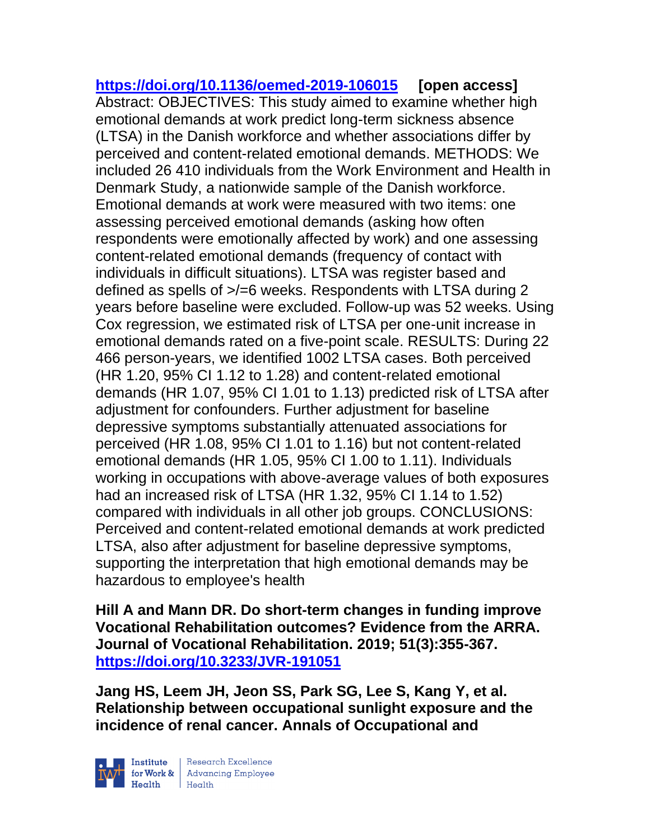**<https://doi.org/10.1136/oemed-2019-106015> [open access]** Abstract: OBJECTIVES: This study aimed to examine whether high emotional demands at work predict long-term sickness absence (LTSA) in the Danish workforce and whether associations differ by perceived and content-related emotional demands. METHODS: We included 26 410 individuals from the Work Environment and Health in Denmark Study, a nationwide sample of the Danish workforce. Emotional demands at work were measured with two items: one assessing perceived emotional demands (asking how often respondents were emotionally affected by work) and one assessing content-related emotional demands (frequency of contact with individuals in difficult situations). LTSA was register based and defined as spells of >/=6 weeks. Respondents with LTSA during 2 years before baseline were excluded. Follow-up was 52 weeks. Using Cox regression, we estimated risk of LTSA per one-unit increase in emotional demands rated on a five-point scale. RESULTS: During 22 466 person-years, we identified 1002 LTSA cases. Both perceived (HR 1.20, 95% CI 1.12 to 1.28) and content-related emotional demands (HR 1.07, 95% CI 1.01 to 1.13) predicted risk of LTSA after adjustment for confounders. Further adjustment for baseline depressive symptoms substantially attenuated associations for perceived (HR 1.08, 95% CI 1.01 to 1.16) but not content-related emotional demands (HR 1.05, 95% CI 1.00 to 1.11). Individuals working in occupations with above-average values of both exposures had an increased risk of LTSA (HR 1.32, 95% CI 1.14 to 1.52) compared with individuals in all other job groups. CONCLUSIONS: Perceived and content-related emotional demands at work predicted LTSA, also after adjustment for baseline depressive symptoms, supporting the interpretation that high emotional demands may be hazardous to employee's health

**Hill A and Mann DR. Do short-term changes in funding improve Vocational Rehabilitation outcomes? Evidence from the ARRA. Journal of Vocational Rehabilitation. 2019; 51(3):355-367. <https://doi.org/10.3233/JVR-191051>** 

**Jang HS, Leem JH, Jeon SS, Park SG, Lee S, Kang Y, et al. Relationship between occupational sunlight exposure and the incidence of renal cancer. Annals of Occupational and** 

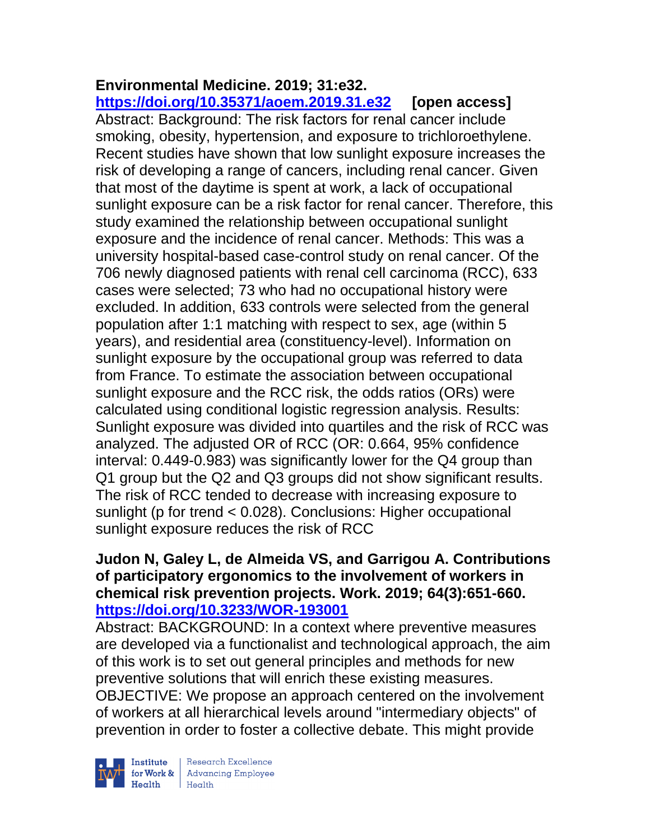#### **Environmental Medicine. 2019; 31:e32. <https://doi.org/10.35371/aoem.2019.31.e32> [open access]**

Abstract: Background: The risk factors for renal cancer include smoking, obesity, hypertension, and exposure to trichloroethylene. Recent studies have shown that low sunlight exposure increases the risk of developing a range of cancers, including renal cancer. Given that most of the daytime is spent at work, a lack of occupational sunlight exposure can be a risk factor for renal cancer. Therefore, this study examined the relationship between occupational sunlight exposure and the incidence of renal cancer. Methods: This was a university hospital-based case-control study on renal cancer. Of the 706 newly diagnosed patients with renal cell carcinoma (RCC), 633 cases were selected; 73 who had no occupational history were excluded. In addition, 633 controls were selected from the general population after 1:1 matching with respect to sex, age (within 5 years), and residential area (constituency-level). Information on sunlight exposure by the occupational group was referred to data from France. To estimate the association between occupational sunlight exposure and the RCC risk, the odds ratios (ORs) were calculated using conditional logistic regression analysis. Results: Sunlight exposure was divided into quartiles and the risk of RCC was analyzed. The adjusted OR of RCC (OR: 0.664, 95% confidence interval: 0.449-0.983) was significantly lower for the Q4 group than Q1 group but the Q2 and Q3 groups did not show significant results. The risk of RCC tended to decrease with increasing exposure to sunlight (p for trend < 0.028). Conclusions: Higher occupational sunlight exposure reduces the risk of RCC

### **Judon N, Galey L, de Almeida VS, and Garrigou A. Contributions of participatory ergonomics to the involvement of workers in chemical risk prevention projects. Work. 2019; 64(3):651-660. <https://doi.org/10.3233/WOR-193001>**

Abstract: BACKGROUND: In a context where preventive measures are developed via a functionalist and technological approach, the aim of this work is to set out general principles and methods for new preventive solutions that will enrich these existing measures. OBJECTIVE: We propose an approach centered on the involvement of workers at all hierarchical levels around "intermediary objects" of prevention in order to foster a collective debate. This might provide



 $\begin{tabular}{|l|} Institute & Research Excellence \\ \hline for Work & Advancing Employee \\ Health & Health \\ \end{tabular}$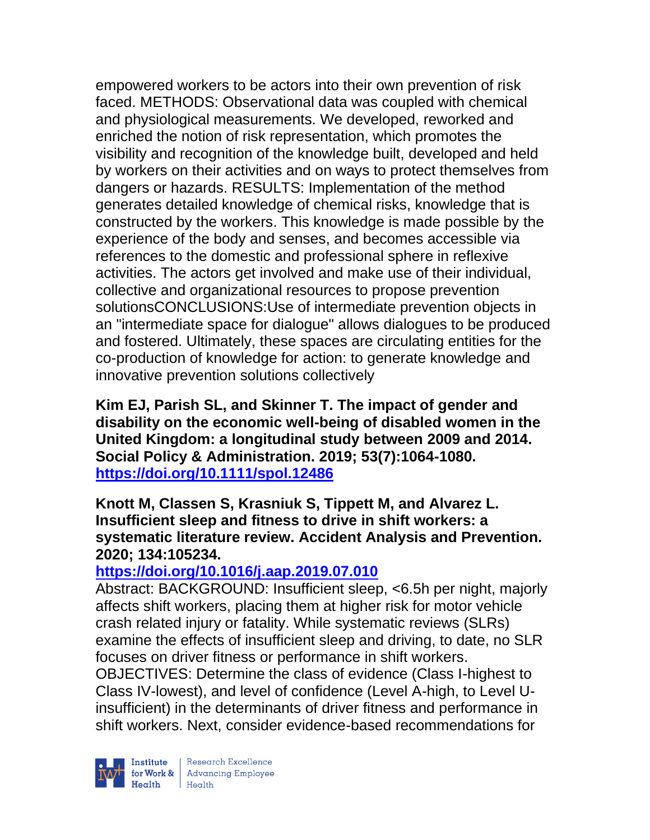empowered workers to be actors into their own prevention of risk faced. METHODS: Observational data was coupled with chemical and physiological measurements. We developed, reworked and enriched the notion of risk representation, which promotes the visibility and recognition of the knowledge built, developed and held by workers on their activities and on ways to protect themselves from dangers or hazards. RESULTS: Implementation of the method generates detailed knowledge of chemical risks, knowledge that is constructed by the workers. This knowledge is made possible by the experience of the body and senses, and becomes accessible via references to the domestic and professional sphere in reflexive activities. The actors get involved and make use of their individual, collective and organizational resources to propose prevention solutionsCONCLUSIONS:Use of intermediate prevention objects in an "intermediate space for dialogue" allows dialogues to be produced and fostered. Ultimately, these spaces are circulating entities for the co-production of knowledge for action: to generate knowledge and innovative prevention solutions collectively

**Kim EJ, Parish SL, and Skinner T. The impact of gender and disability on the economic well-being of disabled women in the United Kingdom: a longitudinal study between 2009 and 2014. Social Policy & Administration. 2019; 53(7):1064-1080. <https://doi.org/10.1111/spol.12486>** 

**Knott M, Classen S, Krasniuk S, Tippett M, and Alvarez L. Insufficient sleep and fitness to drive in shift workers: a systematic literature review. Accident Analysis and Prevention. 2020; 134:105234.**

#### **<https://doi.org/10.1016/j.aap.2019.07.010>**

Abstract: BACKGROUND: Insufficient sleep, <6.5h per night, majorly affects shift workers, placing them at higher risk for motor vehicle crash related injury or fatality. While systematic reviews (SLRs) examine the effects of insufficient sleep and driving, to date, no SLR focuses on driver fitness or performance in shift workers.

OBJECTIVES: Determine the class of evidence (Class I-highest to Class IV-lowest), and level of confidence (Level A-high, to Level Uinsufficient) in the determinants of driver fitness and performance in shift workers. Next, consider evidence-based recommendations for

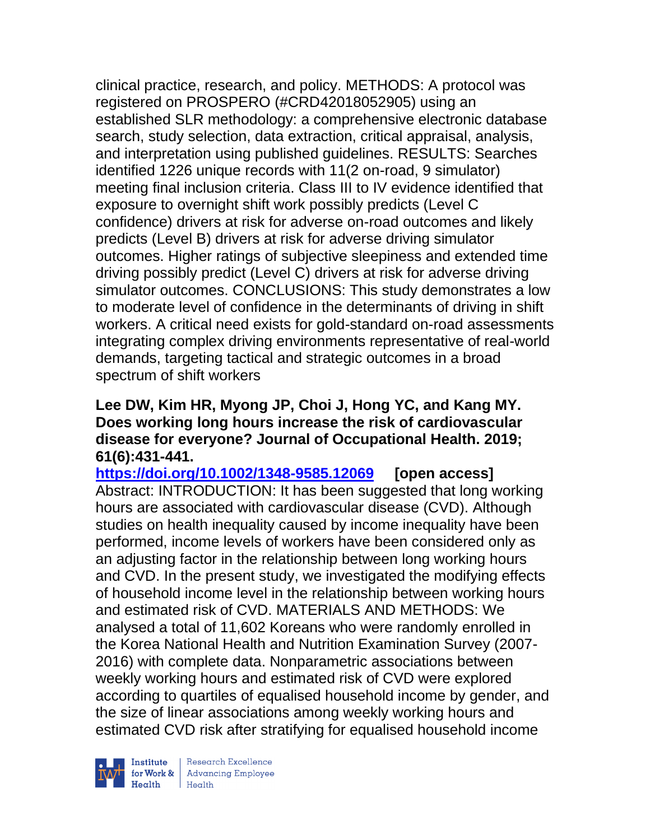clinical practice, research, and policy. METHODS: A protocol was registered on PROSPERO (#CRD42018052905) using an established SLR methodology: a comprehensive electronic database search, study selection, data extraction, critical appraisal, analysis, and interpretation using published guidelines. RESULTS: Searches identified 1226 unique records with 11(2 on-road, 9 simulator) meeting final inclusion criteria. Class III to IV evidence identified that exposure to overnight shift work possibly predicts (Level C confidence) drivers at risk for adverse on-road outcomes and likely predicts (Level B) drivers at risk for adverse driving simulator outcomes. Higher ratings of subjective sleepiness and extended time driving possibly predict (Level C) drivers at risk for adverse driving simulator outcomes. CONCLUSIONS: This study demonstrates a low to moderate level of confidence in the determinants of driving in shift workers. A critical need exists for gold-standard on-road assessments integrating complex driving environments representative of real-world demands, targeting tactical and strategic outcomes in a broad spectrum of shift workers

#### **Lee DW, Kim HR, Myong JP, Choi J, Hong YC, and Kang MY. Does working long hours increase the risk of cardiovascular disease for everyone? Journal of Occupational Health. 2019; 61(6):431-441.**

**<https://doi.org/10.1002/1348-9585.12069> [open access]** Abstract: INTRODUCTION: It has been suggested that long working hours are associated with cardiovascular disease (CVD). Although studies on health inequality caused by income inequality have been performed, income levels of workers have been considered only as an adjusting factor in the relationship between long working hours and CVD. In the present study, we investigated the modifying effects of household income level in the relationship between working hours and estimated risk of CVD. MATERIALS AND METHODS: We analysed a total of 11,602 Koreans who were randomly enrolled in the Korea National Health and Nutrition Examination Survey (2007- 2016) with complete data. Nonparametric associations between weekly working hours and estimated risk of CVD were explored according to quartiles of equalised household income by gender, and the size of linear associations among weekly working hours and estimated CVD risk after stratifying for equalised household income

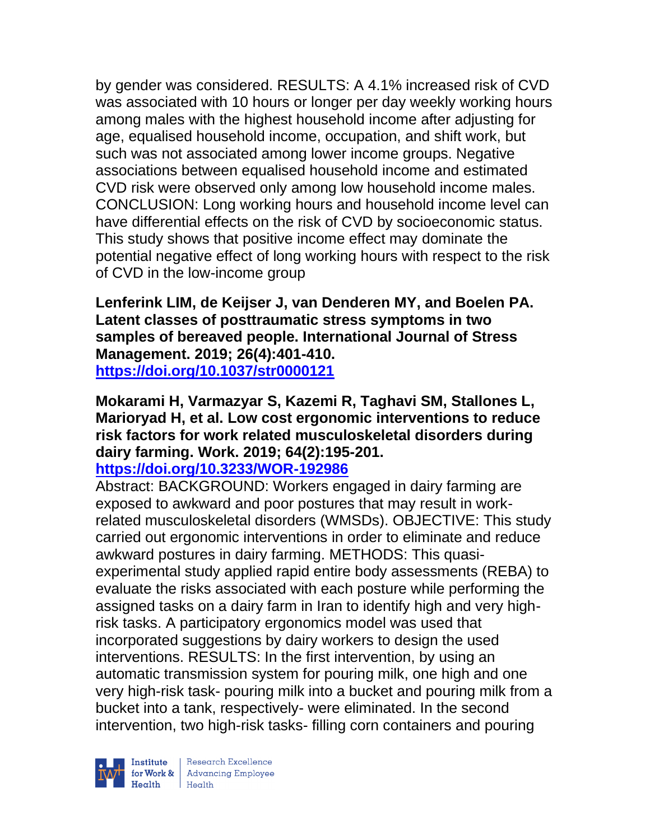by gender was considered. RESULTS: A 4.1% increased risk of CVD was associated with 10 hours or longer per day weekly working hours among males with the highest household income after adjusting for age, equalised household income, occupation, and shift work, but such was not associated among lower income groups. Negative associations between equalised household income and estimated CVD risk were observed only among low household income males. CONCLUSION: Long working hours and household income level can have differential effects on the risk of CVD by socioeconomic status. This study shows that positive income effect may dominate the potential negative effect of long working hours with respect to the risk of CVD in the low-income group

**Lenferink LIM, de Keijser J, van Denderen MY, and Boelen PA. Latent classes of posttraumatic stress symptoms in two samples of bereaved people. International Journal of Stress Management. 2019; 26(4):401-410. <https://doi.org/10.1037/str0000121>** 

**Mokarami H, Varmazyar S, Kazemi R, Taghavi SM, Stallones L, Marioryad H, et al. Low cost ergonomic interventions to reduce risk factors for work related musculoskeletal disorders during dairy farming. Work. 2019; 64(2):195-201.** 

# **<https://doi.org/10.3233/WOR-192986>**

Abstract: BACKGROUND: Workers engaged in dairy farming are exposed to awkward and poor postures that may result in workrelated musculoskeletal disorders (WMSDs). OBJECTIVE: This study carried out ergonomic interventions in order to eliminate and reduce awkward postures in dairy farming. METHODS: This quasiexperimental study applied rapid entire body assessments (REBA) to evaluate the risks associated with each posture while performing the assigned tasks on a dairy farm in Iran to identify high and very highrisk tasks. A participatory ergonomics model was used that incorporated suggestions by dairy workers to design the used interventions. RESULTS: In the first intervention, by using an automatic transmission system for pouring milk, one high and one very high-risk task- pouring milk into a bucket and pouring milk from a bucket into a tank, respectively- were eliminated. In the second intervention, two high-risk tasks- filling corn containers and pouring

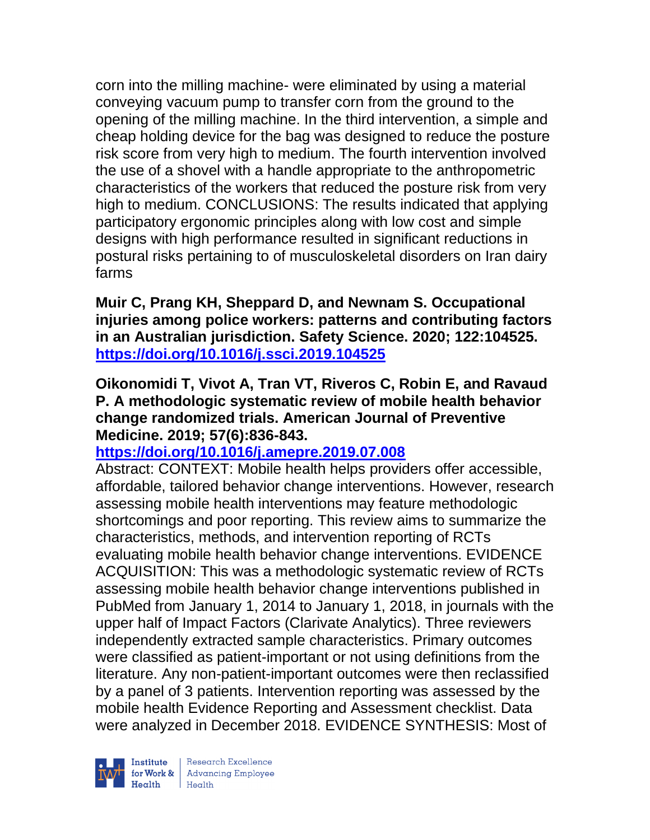corn into the milling machine- were eliminated by using a material conveying vacuum pump to transfer corn from the ground to the opening of the milling machine. In the third intervention, a simple and cheap holding device for the bag was designed to reduce the posture risk score from very high to medium. The fourth intervention involved the use of a shovel with a handle appropriate to the anthropometric characteristics of the workers that reduced the posture risk from very high to medium. CONCLUSIONS: The results indicated that applying participatory ergonomic principles along with low cost and simple designs with high performance resulted in significant reductions in postural risks pertaining to of musculoskeletal disorders on Iran dairy farms

**Muir C, Prang KH, Sheppard D, and Newnam S. Occupational injuries among police workers: patterns and contributing factors in an Australian jurisdiction. Safety Science. 2020; 122:104525. <https://doi.org/10.1016/j.ssci.2019.104525>** 

### **Oikonomidi T, Vivot A, Tran VT, Riveros C, Robin E, and Ravaud P. A methodologic systematic review of mobile health behavior change randomized trials. American Journal of Preventive Medicine. 2019; 57(6):836-843.**

## **<https://doi.org/10.1016/j.amepre.2019.07.008>**

Abstract: CONTEXT: Mobile health helps providers offer accessible, affordable, tailored behavior change interventions. However, research assessing mobile health interventions may feature methodologic shortcomings and poor reporting. This review aims to summarize the characteristics, methods, and intervention reporting of RCTs evaluating mobile health behavior change interventions. EVIDENCE ACQUISITION: This was a methodologic systematic review of RCTs assessing mobile health behavior change interventions published in PubMed from January 1, 2014 to January 1, 2018, in journals with the upper half of Impact Factors (Clarivate Analytics). Three reviewers independently extracted sample characteristics. Primary outcomes were classified as patient-important or not using definitions from the literature. Any non-patient-important outcomes were then reclassified by a panel of 3 patients. Intervention reporting was assessed by the mobile health Evidence Reporting and Assessment checklist. Data were analyzed in December 2018. EVIDENCE SYNTHESIS: Most of

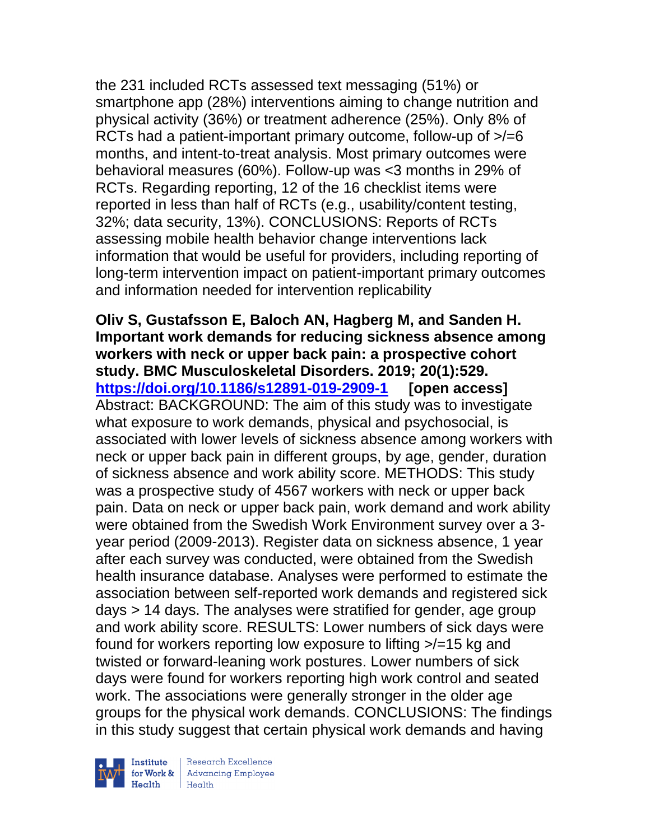the 231 included RCTs assessed text messaging (51%) or smartphone app (28%) interventions aiming to change nutrition and physical activity (36%) or treatment adherence (25%). Only 8% of RCTs had a patient-important primary outcome, follow-up of >/=6 months, and intent-to-treat analysis. Most primary outcomes were behavioral measures (60%). Follow-up was <3 months in 29% of RCTs. Regarding reporting, 12 of the 16 checklist items were reported in less than half of RCTs (e.g., usability/content testing, 32%; data security, 13%). CONCLUSIONS: Reports of RCTs assessing mobile health behavior change interventions lack information that would be useful for providers, including reporting of long-term intervention impact on patient-important primary outcomes and information needed for intervention replicability

**Oliv S, Gustafsson E, Baloch AN, Hagberg M, and Sanden H. Important work demands for reducing sickness absence among workers with neck or upper back pain: a prospective cohort study. BMC Musculoskeletal Disorders. 2019; 20(1):529. <https://doi.org/10.1186/s12891-019-2909-1> [open access]** Abstract: BACKGROUND: The aim of this study was to investigate what exposure to work demands, physical and psychosocial, is associated with lower levels of sickness absence among workers with neck or upper back pain in different groups, by age, gender, duration of sickness absence and work ability score. METHODS: This study was a prospective study of 4567 workers with neck or upper back pain. Data on neck or upper back pain, work demand and work ability were obtained from the Swedish Work Environment survey over a 3 year period (2009-2013). Register data on sickness absence, 1 year after each survey was conducted, were obtained from the Swedish health insurance database. Analyses were performed to estimate the association between self-reported work demands and registered sick days > 14 days. The analyses were stratified for gender, age group and work ability score. RESULTS: Lower numbers of sick days were found for workers reporting low exposure to lifting >/=15 kg and twisted or forward-leaning work postures. Lower numbers of sick days were found for workers reporting high work control and seated work. The associations were generally stronger in the older age groups for the physical work demands. CONCLUSIONS: The findings in this study suggest that certain physical work demands and having

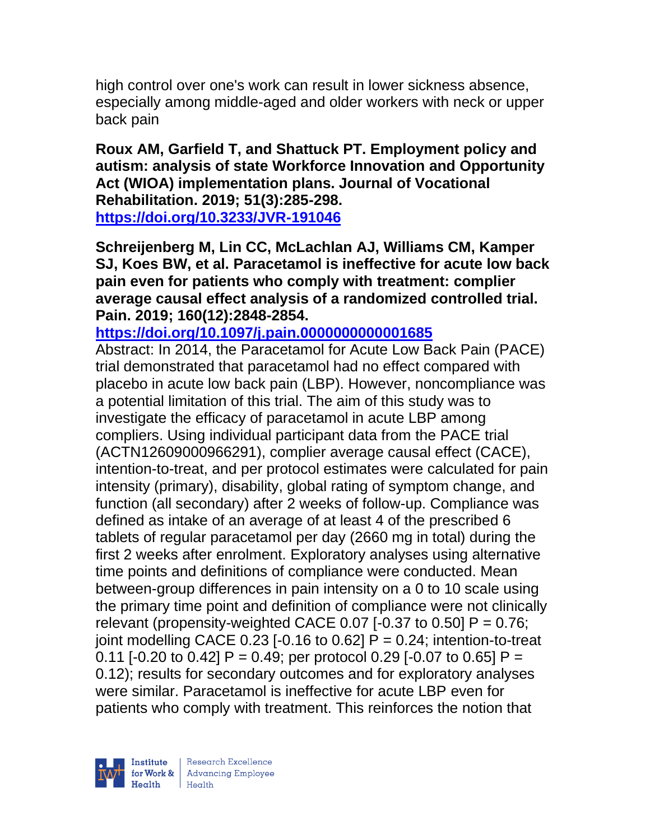high control over one's work can result in lower sickness absence, especially among middle-aged and older workers with neck or upper back pain

**Roux AM, Garfield T, and Shattuck PT. Employment policy and autism: analysis of state Workforce Innovation and Opportunity Act (WIOA) implementation plans. Journal of Vocational Rehabilitation. 2019; 51(3):285-298. <https://doi.org/10.3233/JVR-191046>** 

**Schreijenberg M, Lin CC, McLachlan AJ, Williams CM, Kamper SJ, Koes BW, et al. Paracetamol is ineffective for acute low back pain even for patients who comply with treatment: complier average causal effect analysis of a randomized controlled trial. Pain. 2019; 160(12):2848-2854.** 

**<https://doi.org/10.1097/j.pain.0000000000001685>** 

Abstract: In 2014, the Paracetamol for Acute Low Back Pain (PACE) trial demonstrated that paracetamol had no effect compared with placebo in acute low back pain (LBP). However, noncompliance was a potential limitation of this trial. The aim of this study was to investigate the efficacy of paracetamol in acute LBP among compliers. Using individual participant data from the PACE trial (ACTN12609000966291), complier average causal effect (CACE), intention-to-treat, and per protocol estimates were calculated for pain intensity (primary), disability, global rating of symptom change, and function (all secondary) after 2 weeks of follow-up. Compliance was defined as intake of an average of at least 4 of the prescribed 6 tablets of regular paracetamol per day (2660 mg in total) during the first 2 weeks after enrolment. Exploratory analyses using alternative time points and definitions of compliance were conducted. Mean between-group differences in pain intensity on a 0 to 10 scale using the primary time point and definition of compliance were not clinically relevant (propensity-weighted CACE 0.07 [-0.37 to 0.50]  $P = 0.76$ ; joint modelling CACE 0.23  $[-0.16 \text{ to } 0.62]$  P = 0.24; intention-to-treat 0.11 [-0.20 to 0.42]  $P = 0.49$ ; per protocol 0.29 [-0.07 to 0.65]  $P =$ 0.12); results for secondary outcomes and for exploratory analyses were similar. Paracetamol is ineffective for acute LBP even for patients who comply with treatment. This reinforces the notion that

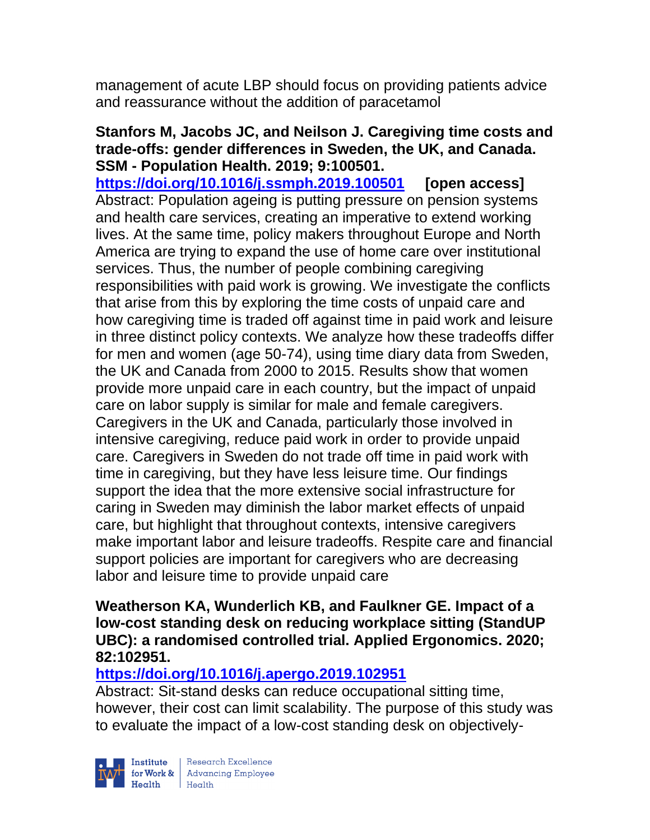management of acute LBP should focus on providing patients advice and reassurance without the addition of paracetamol

#### **Stanfors M, Jacobs JC, and Neilson J. Caregiving time costs and trade-offs: gender differences in Sweden, the UK, and Canada. SSM - Population Health. 2019; 9:100501.**

**<https://doi.org/10.1016/j.ssmph.2019.100501> [open access]** Abstract: Population ageing is putting pressure on pension systems and health care services, creating an imperative to extend working lives. At the same time, policy makers throughout Europe and North America are trying to expand the use of home care over institutional services. Thus, the number of people combining caregiving responsibilities with paid work is growing. We investigate the conflicts that arise from this by exploring the time costs of unpaid care and how caregiving time is traded off against time in paid work and leisure in three distinct policy contexts. We analyze how these tradeoffs differ for men and women (age 50-74), using time diary data from Sweden, the UK and Canada from 2000 to 2015. Results show that women provide more unpaid care in each country, but the impact of unpaid care on labor supply is similar for male and female caregivers. Caregivers in the UK and Canada, particularly those involved in intensive caregiving, reduce paid work in order to provide unpaid care. Caregivers in Sweden do not trade off time in paid work with time in caregiving, but they have less leisure time. Our findings support the idea that the more extensive social infrastructure for caring in Sweden may diminish the labor market effects of unpaid care, but highlight that throughout contexts, intensive caregivers make important labor and leisure tradeoffs. Respite care and financial support policies are important for caregivers who are decreasing labor and leisure time to provide unpaid care

#### **Weatherson KA, Wunderlich KB, and Faulkner GE. Impact of a low-cost standing desk on reducing workplace sitting (StandUP UBC): a randomised controlled trial. Applied Ergonomics. 2020; 82:102951.**

## **<https://doi.org/10.1016/j.apergo.2019.102951>**

Abstract: Sit-stand desks can reduce occupational sitting time, however, their cost can limit scalability. The purpose of this study was to evaluate the impact of a low-cost standing desk on objectively-